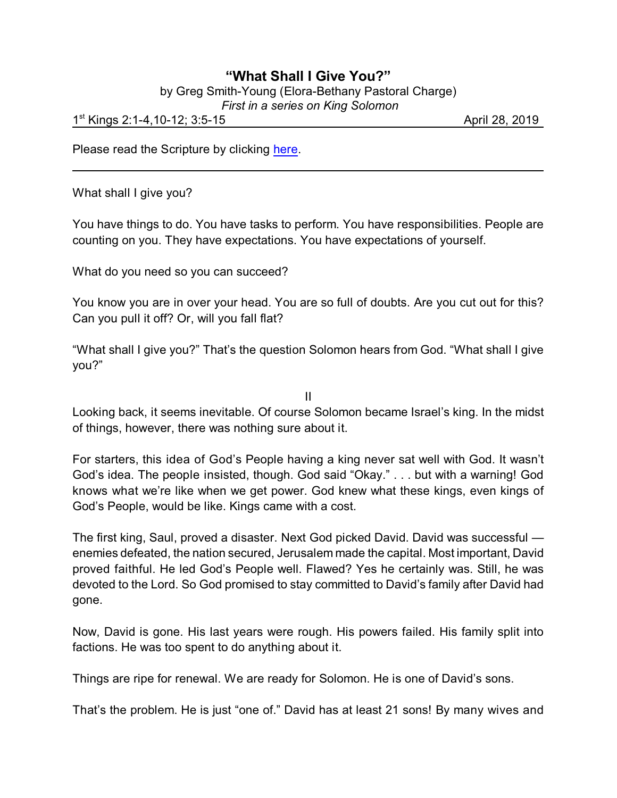## **"What Shall I Give You?"**

by Greg Smith-Young (Elora-Bethany Pastoral Charge)

 *First in a series on King Solomon*

1<sup>st</sup> Kings 2:1-4,10-12; 3:5-15 **April 28, 2019** April 28, 2019

Please read the Scripture by clicking [here](https://www.biblegateway.com/passage/?search=1+Kings+2%3A1-4%2C10-12%3B+3%3A5-15&version=NRSV).

What shall I give you?

You have things to do. You have tasks to perform. You have responsibilities. People are counting on you. They have expectations. You have expectations of yourself.

What do you need so you can succeed?

You know you are in over your head. You are so full of doubts. Are you cut out for this? Can you pull it off? Or, will you fall flat?

"What shall I give you?" That's the question Solomon hears from God. "What shall I give you?"

II

Looking back, it seems inevitable. Of course Solomon became Israel's king. In the midst of things, however, there was nothing sure about it.

For starters, this idea of God's People having a king never sat well with God. It wasn't God's idea. The people insisted, though. God said "Okay." . . . but with a warning! God knows what we're like when we get power. God knew what these kings, even kings of God's People, would be like. Kings came with a cost.

The first king, Saul, proved a disaster. Next God picked David. David was successful enemies defeated, the nation secured, Jerusalem made the capital. Most important, David proved faithful. He led God's People well. Flawed? Yes he certainly was. Still, he was devoted to the Lord. So God promised to stay committed to David's family after David had gone.

Now, David is gone. His last years were rough. His powers failed. His family split into factions. He was too spent to do anything about it.

Things are ripe for renewal. We are ready for Solomon. He is one of David's sons.

That's the problem. He is just "one of." David has at least 21 sons! By many wives and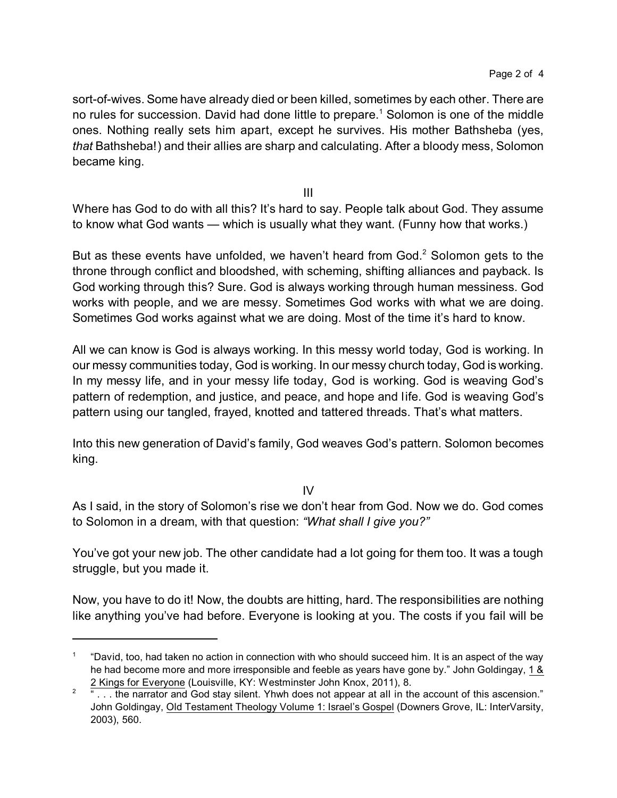sort-of-wives. Some have already died or been killed, sometimes by each other. There are no rules for succession. David had done little to prepare.<sup>1</sup> Solomon is one of the middle ones. Nothing really sets him apart, except he survives. His mother Bathsheba (yes, *that* Bathsheba!) and their allies are sharp and calculating. After a bloody mess, Solomon became king.

III

Where has God to do with all this? It's hard to say. People talk about God. They assume to know what God wants — which is usually what they want. (Funny how that works.)

But as these events have unfolded, we haven't heard from God.<sup>2</sup> Solomon gets to the throne through conflict and bloodshed, with scheming, shifting alliances and payback. Is God working through this? Sure. God is always working through human messiness. God works with people, and we are messy. Sometimes God works with what we are doing. Sometimes God works against what we are doing. Most of the time it's hard to know.

All we can know is God is always working. In this messy world today, God is working. In our messy communities today, God is working. In our messy church today, God is working. In my messy life, and in your messy life today, God is working. God is weaving God's pattern of redemption, and justice, and peace, and hope and life. God is weaving God's pattern using our tangled, frayed, knotted and tattered threads. That's what matters.

Into this new generation of David's family, God weaves God's pattern. Solomon becomes king.

 $IV$ 

As I said, in the story of Solomon's rise we don't hear from God. Now we do. God comes to Solomon in a dream, with that question: *"What shall I give you?"*

You've got your new job. The other candidate had a lot going for them too. It was a tough struggle, but you made it.

Now, you have to do it! Now, the doubts are hitting, hard. The responsibilities are nothing like anything you've had before. Everyone is looking at you. The costs if you fail will be

<sup>1</sup> "David, too, had taken no action in connection with who should succeed him. It is an aspect of the way he had become more and more irresponsible and feeble as years have gone by." John Goldingay, 1 & 2 Kings for Everyone (Louisville, KY: Westminster John Knox, 2011), 8.

<sup>2</sup> "... the narrator and God stay silent. Yhwh does not appear at all in the account of this ascension." John Goldingay, Old Testament Theology Volume 1: Israel's Gospel (Downers Grove, IL: InterVarsity, 2003), 560.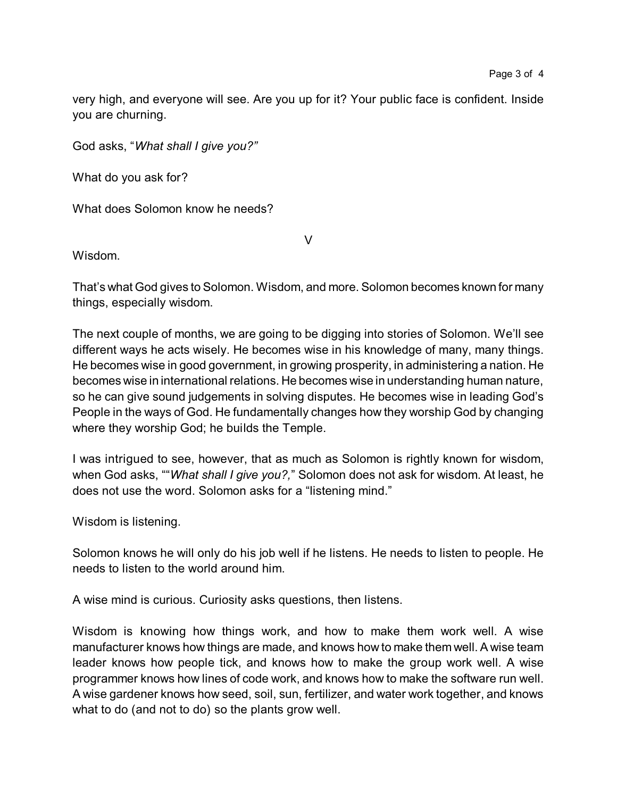very high, and everyone will see. Are you up for it? Your public face is confident. Inside you are churning.

God asks, "*What shall I give you?"*

What do you ask for?

What does Solomon know he needs?

Wisdom.

That's what God gives to Solomon. Wisdom, and more. Solomon becomes known for many things, especially wisdom.

V

The next couple of months, we are going to be digging into stories of Solomon. We'll see different ways he acts wisely. He becomes wise in his knowledge of many, many things. He becomes wise in good government, in growing prosperity, in administering a nation. He becomes wise in international relations. He becomes wise in understanding human nature, so he can give sound judgements in solving disputes. He becomes wise in leading God's People in the ways of God. He fundamentally changes how they worship God by changing where they worship God; he builds the Temple.

I was intrigued to see, however, that as much as Solomon is rightly known for wisdom, when God asks, ""*What shall I give you?,*" Solomon does not ask for wisdom. At least, he does not use the word. Solomon asks for a "listening mind."

Wisdom is listening.

Solomon knows he will only do his job well if he listens. He needs to listen to people. He needs to listen to the world around him.

A wise mind is curious. Curiosity asks questions, then listens.

Wisdom is knowing how things work, and how to make them work well. A wise manufacturer knows how things are made, and knows how to make them well. A wise team leader knows how people tick, and knows how to make the group work well. A wise programmer knows how lines of code work, and knows how to make the software run well. A wise gardener knows how seed, soil, sun, fertilizer, and water work together, and knows what to do (and not to do) so the plants grow well.